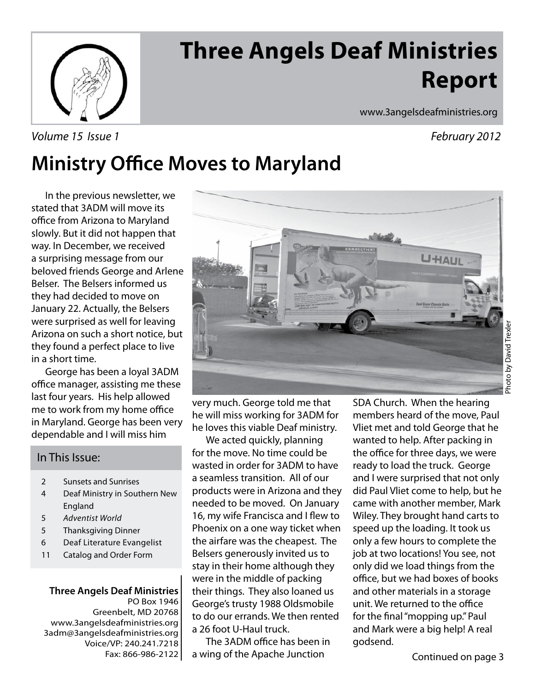

# **Three Angels Deaf Ministries Report**

Volume 15 Issue 1 **February 2012** 

www.3angelsdeafministries.org

## **Ministry Office Moves to Maryland**

In the previous newsletter, we stated that 3ADM will move its office from Arizona to Maryland slowly. But it did not happen that way. In December, we received a surprising message from our beloved friends George and Arlene Belser. The Belsers informed us they had decided to move on January 22. Actually, the Belsers were surprised as well for leaving Arizona on such a short notice, but they found a perfect place to live in a short time.

 George has been a loyal 3ADM office manager, assisting me these last four years. His help allowed me to work from my home office in Maryland. George has been very dependable and I will miss him

#### In This Issue:

- 2 Sunsets and Sunrises
- 4 Deaf Ministry in Southern New England
- 5 Adventist World
- 5 Thanksgiving Dinner
- 6 Deaf Literature Evangelist
- 11 Catalog and Order Form

**Three Angels Deaf Ministries** PO Box 1946 Greenbelt, MD 20768 www.3angelsdeafministries.org 3adm@3angelsdeafministries.org Voice/VP: 240.241.7218 Fax: 866-986-2122



very much. George told me that he will miss working for 3ADM for he loves this viable Deaf ministry.

 We acted quickly, planning for the move. No time could be wasted in order for 3ADM to have a seamless transition. All of our products were in Arizona and they needed to be moved. On January 16, my wife Francisca and I flew to Phoenix on a one way ticket when the airfare was the cheapest. The Belsers generously invited us to stay in their home although they were in the middle of packing their things. They also loaned us George's trusty 1988 Oldsmobile to do our errands. We then rented a 26 foot U-Haul truck.

The 3ADM office has been in a wing of the Apache Junction

SDA Church. When the hearing members heard of the move, Paul Vliet met and told George that he wanted to help. After packing in the office for three days, we were ready to load the truck. George and I were surprised that not only did Paul Vliet come to help, but he came with another member, Mark Wiley. They brought hand carts to speed up the loading. It took us only a few hours to complete the job at two locations! You see, not only did we load things from the office, but we had boxes of books and other materials in a storage unit. We returned to the office for the final "mopping up." Paul and Mark were a big help! A real godsend.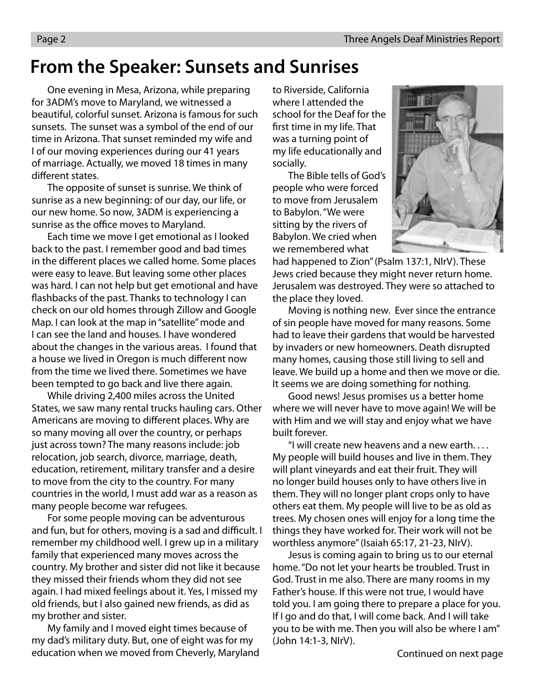### **From the Speaker: Sunsets and Sunrises**

One evening in Mesa, Arizona, while preparing for 3ADM's move to Maryland, we witnessed a beautiful, colorful sunset. Arizona is famous for such sunsets. The sunset was a symbol of the end of our time in Arizona. That sunset reminded my wife and I of our moving experiences during our 41 years of marriage. Actually, we moved 18 times in many different states.

 The opposite of sunset is sunrise. We think of sunrise as a new beginning: of our day, our life, or our new home. So now, 3ADM is experiencing a sunrise as the office moves to Maryland.

 Each time we move I get emotional as I looked back to the past. I remember good and bad times in the different places we called home. Some places were easy to leave. But leaving some other places was hard. I can not help but get emotional and have flashbacks of the past. Thanks to technology I can check on our old homes through Zillow and Google Map. I can look at the map in "satellite" mode and I can see the land and houses. I have wondered about the changes in the various areas. I found that a house we lived in Oregon is much different now from the time we lived there. Sometimes we have been tempted to go back and live there again.

 While driving 2,400 miles across the United States, we saw many rental trucks hauling cars. Other Americans are moving to different places. Why are so many moving all over the country, or perhaps just across town? The many reasons include: job relocation, job search, divorce, marriage, death, education, retirement, military transfer and a desire to move from the city to the country. For many countries in the world, I must add war as a reason as many people become war refugees.

 For some people moving can be adventurous and fun, but for others, moving is a sad and difficult. I remember my childhood well. I grew up in a military family that experienced many moves across the country. My brother and sister did not like it because they missed their friends whom they did not see again. I had mixed feelings about it. Yes, I missed my old friends, but I also gained new friends, as did as my brother and sister.

 My family and I moved eight times because of my dad's military duty. But, one of eight was for my education when we moved from Cheverly, Maryland to Riverside, California where I attended the school for the Deaf for the first time in my life. That was a turning point of my life educationally and socially.

 The Bible tells of God's people who were forced to move from Jerusalem to Babylon. "We were sitting by the rivers of Babylon. We cried when we remembered what



had happened to Zion" (Psalm 137:1, NIrV). These Jews cried because they might never return home. Jerusalem was destroyed. They were so attached to the place they loved.

 Moving is nothing new. Ever since the entrance of sin people have moved for many reasons. Some had to leave their gardens that would be harvested by invaders or new homeowners. Death disrupted many homes, causing those still living to sell and leave. We build up a home and then we move or die. It seems we are doing something for nothing.

 Good news! Jesus promises us a better home where we will never have to move again! We will be with Him and we will stay and enjoy what we have built forever.

 "I will create new heavens and a new earth. . . . My people will build houses and live in them. They will plant vineyards and eat their fruit. They will no longer build houses only to have others live in them. They will no longer plant crops only to have others eat them. My people will live to be as old as trees. My chosen ones will enjoy for a long time the things they have worked for. Their work will not be worthless anymore" (Isaiah 65:17, 21-23, NIrV).

 Jesus is coming again to bring us to our eternal home. "Do not let your hearts be troubled. Trust in God. Trust in me also. There are many rooms in my Father's house. If this were not true, I would have told you. I am going there to prepare a place for you. If I go and do that, I will come back. And I will take you to be with me. Then you will also be where I am" (John 14:1-3, NIrV).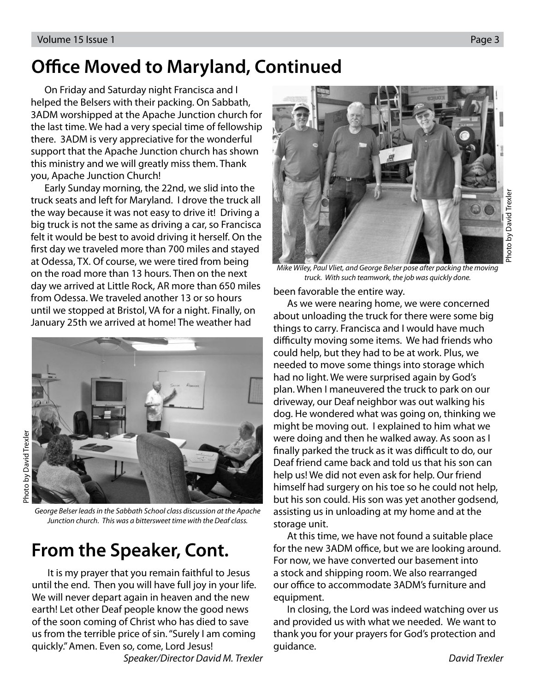## **Office Moved to Maryland, Continued**

 On Friday and Saturday night Francisca and I helped the Belsers with their packing. On Sabbath, 3ADM worshipped at the Apache Junction church for the last time. We had a very special time of fellowship there. 3ADM is very appreciative for the wonderful support that the Apache Junction church has shown this ministry and we will greatly miss them. Thank you, Apache Junction Church!

 Early Sunday morning, the 22nd, we slid into the truck seats and left for Maryland. I drove the truck all the way because it was not easy to drive it! Driving a big truck is not the same as driving a car, so Francisca felt it would be best to avoid driving it herself. On the first day we traveled more than 700 miles and stayed at Odessa, TX. Of course, we were tired from being on the road more than 13 hours. Then on the next day we arrived at Little Rock, AR more than 650 miles from Odessa. We traveled another 13 or so hours until we stopped at Bristol, VA for a night. Finally, on January 25th we arrived at home! The weather had



George Belser leads in the Sabbath School class discussion at the Apache Junction church. This was a bittersweet time with the Deaf class.

## **From the Speaker, Cont.**

 It is my prayer that you remain faithful to Jesus until the end. Then you will have full joy in your life. We will never depart again in heaven and the new earth! Let other Deaf people know the good news of the soon coming of Christ who has died to save us from the terrible price of sin. "Surely I am coming quickly." Amen. Even so, come, Lord Jesus!



Mike Wiley, Paul Vliet, and George Belser pose after packing the moving truck. With such teamwork, the job was quickly done.

been favorable the entire way.

 As we were nearing home, we were concerned about unloading the truck for there were some big things to carry. Francisca and I would have much difficulty moving some items. We had friends who could help, but they had to be at work. Plus, we needed to move some things into storage which had no light. We were surprised again by God's plan. When I maneuvered the truck to park on our driveway, our Deaf neighbor was out walking his dog. He wondered what was going on, thinking we might be moving out. I explained to him what we were doing and then he walked away. As soon as I finally parked the truck as it was difficult to do, our Deaf friend came back and told us that his son can help us! We did not even ask for help. Our friend himself had surgery on his toe so he could not help, but his son could. His son was yet another godsend, assisting us in unloading at my home and at the storage unit.

 At this time, we have not found a suitable place for the new 3ADM office, but we are looking around. For now, we have converted our basement into a stock and shipping room. We also rearranged our office to accommodate 3ADM's furniture and equipment.

 In closing, the Lord was indeed watching over us and provided us with what we needed. We want to thank you for your prayers for God's protection and guidance.

Speaker/Director David M. Trexler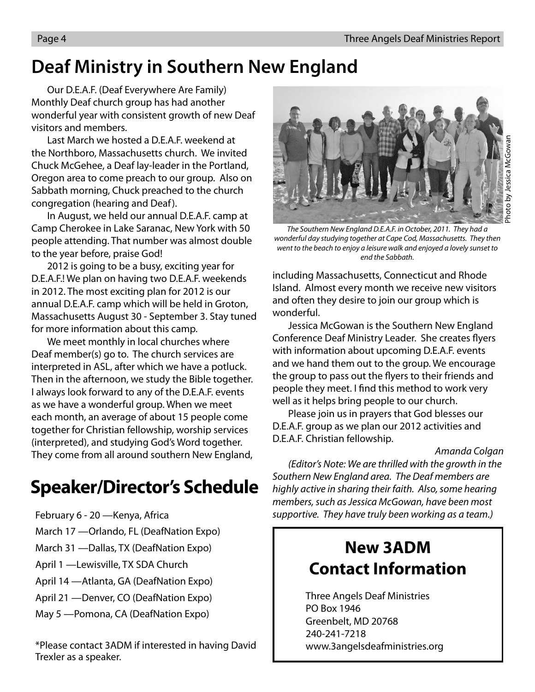## **Deaf Ministry in Southern New England**

Our D.E.A.F. (Deaf Everywhere Are Family) Monthly Deaf church group has had another wonderful year with consistent growth of new Deaf visitors and members.

Last March we hosted a D.E.A.F. weekend at the Northboro, Massachusetts church. We invited Chuck McGehee, a Deaf lay-leader in the Portland, Oregon area to come preach to our group. Also on Sabbath morning, Chuck preached to the church congregation (hearing and Deaf).

In August, we held our annual D.E.A.F. camp at Camp Cherokee in Lake Saranac, New York with 50 people attending. That number was almost double to the year before, praise God!

2012 is going to be a busy, exciting year for D.E.A.F.! We plan on having two D.E.A.F. weekends in 2012. The most exciting plan for 2012 is our annual D.E.A.F. camp which will be held in Groton, Massachusetts August 30 - September 3. Stay tuned for more information about this camp.

We meet monthly in local churches where Deaf member(s) go to. The church services are interpreted in ASL, after which we have a potluck. Then in the afternoon, we study the Bible together. I always look forward to any of the D.E.A.F. events as we have a wonderful group. When we meet each month, an average of about 15 people come together for Christian fellowship, worship services (interpreted), and studying God's Word together. They come from all around southern New England,

## **Speaker/Director's Schedule**

- February 6 20 —Kenya, Africa
- March 17 —Orlando, FL (DeafNation Expo)
- March 31 —Dallas, TX (DeafNation Expo)
- April 1 —Lewisville, TX SDA Church
- April 14 —Atlanta, GA (DeafNation Expo)
- April 21 —Denver, CO (DeafNation Expo)
- May 5 —Pomona, CA (DeafNation Expo)

\*Please contact 3ADM if interested in having David Trexler as a speaker.



The Southern New England D.E.A.F. in October, 2011. They had a wonderful day studying together at Cape Cod, Massachusetts. They then went to the beach to enjoy a leisure walk and enjoyed a lovely sunset to end the Sabbath.

including Massachusetts, Connecticut and Rhode Island. Almost every month we receive new visitors and often they desire to join our group which is wonderful.

Jessica McGowan is the Southern New England Conference Deaf Ministry Leader. She creates flyers with information about upcoming D.E.A.F. events and we hand them out to the group. We encourage the group to pass out the flyers to their friends and people they meet. I find this method to work very well as it helps bring people to our church.

Please join us in prayers that God blesses our D.E.A.F. group as we plan our 2012 activities and D.E.A.F. Christian fellowship.

#### Amanda Colgan

(Editor's Note: We are thrilled with the growth in the Southern New England area. The Deaf members are highly active in sharing their faith. Also, some hearing members, such as Jessica McGowan, have been most supportive. They have truly been working as a team.)

### **New 3ADM Contact Information**

 Three Angels Deaf Ministries PO Box 1946 Greenbelt, MD 20768 240-241-7218 www.3angelsdeafministries.org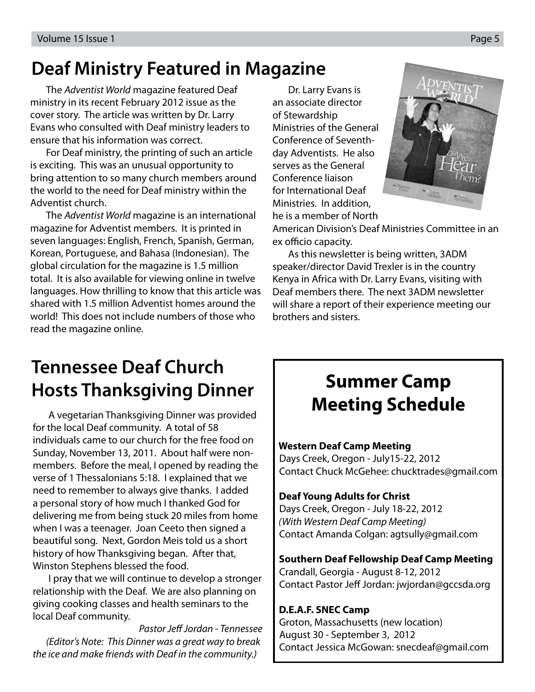## **Deaf Ministry Featured in Magazine**

The Adventist World magazine featured Deaf ministry in its recent February 2012 issue as the cover story. The article was written by Dr. Larry Evans who consulted with Deaf ministry leaders to ensure that his information was correct.

For Deaf ministry, the printing of such an article is exciting. This was an unusual opportunity to bring attention to so many church members around the world to the need for Deaf ministry within the Adventist church.

The Adventist World magazine is an international magazine for Adventist members. It is printed in seven languages: English, French, Spanish, German, Korean, Portuguese, and Bahasa (Indonesian). The global circulation for the magazine is 1.5 million total. It is also available for viewing online in twelve languages. How thrilling to know that this article was shared with 1.5 million Adventist homes around the world! This does not include numbers of those who read the magazine online.

Dr. Larry Evans is an associate director of Stewardship Ministries of the General Conference of Seventhday Adventists. He also serves as the General Conference liaison for International Deaf Ministries. In addition, he is a member of North



American Division's Deaf Ministries Committee in an ex officio capacity.

As this newsletter is being written, 3ADM speaker/director David Trexler is in the country Kenya in Africa with Dr. Larry Evans, visiting with Deaf members there. The next 3ADM newsletter will share a report of their experience meeting our brothers and sisters.

## **Tennessee Deaf Church Hosts Thanksgiving Dinner**

A vegetarian Thanksgiving Dinner was provided for the local Deaf community. A total of 58 individuals came to our church for the free food on Sunday, November 13, 2011. About half were nonmembers. Before the meal, I opened by reading the verse of 1 Thessalonians 5:18. I explained that we need to remember to always give thanks. I added a personal story of how much I thanked God for delivering me from being stuck 20 miles from home when I was a teenager. Joan Ceeto then signed a beautiful song. Next, Gordon Meis told us a short history of how Thanksgiving began. After that, Winston Stephens blessed the food.

I pray that we will continue to develop a stronger relationship with the Deaf. We are also planning on giving cooking classes and health seminars to the local Deaf community.

Pastor Jeff Jordan - Tennessee (Editor's Note: This Dinner was a great way to break the ice and make friends with Deaf in the community.)

## **Summer Camp Meeting Schedule**

#### **Western Deaf Camp Meeting**

 $\overline{\phantom{a}}$ 

 Days Creek, Oregon - July15-22, 2012 Contact Chuck McGehee: chucktrades@gmail.com

#### **Deaf Young Adults for Christ**

 Days Creek, Oregon - July 18-22, 2012 (With Western Deaf Camp Meeting) Contact Amanda Colgan: agtsully@gmail.com

#### **Southern Deaf Fellowship Deaf Camp Meeting**

 Crandall, Georgia - August 8-12, 2012 Contact Pastor Jeff Jordan: jwjordan@gccsda.org

#### **D.E.A.F. SNEC Camp**

 Groton, Massachusetts (new location) August 30 - September 3, 2012 Contact Jessica McGowan: snecdeaf@gmail.com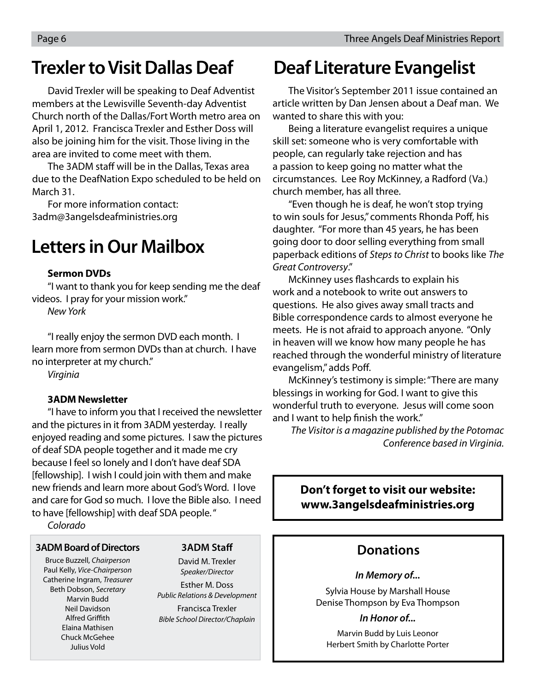### **Trexler to Visit Dallas Deaf**

David Trexler will be speaking to Deaf Adventist members at the Lewisville Seventh-day Adventist Church north of the Dallas/Fort Worth metro area on April 1, 2012. Francisca Trexler and Esther Doss will also be joining him for the visit. Those living in the area are invited to come meet with them.

The 3ADM staff will be in the Dallas. Texas area due to the DeafNation Expo scheduled to be held on March 31.

For more information contact: 3adm@3angelsdeafministries.org

## **Letters in Our Mailbox**

#### **Sermon DVDs**

"I want to thank you for keep sending me the deaf videos. I pray for your mission work."

New York

"I really enjoy the sermon DVD each month. I learn more from sermon DVDs than at church. I have no interpreter at my church."

Virginia

#### **3ADM Newsletter**

"I have to inform you that I received the newsletter and the pictures in it from 3ADM yesterday. I really enjoyed reading and some pictures. I saw the pictures of deaf SDA people together and it made me cry because I feel so lonely and I don't have deaf SDA [fellowship]. I wish I could join with them and make new friends and learn more about God's Word. I love and care for God so much. I love the Bible also. I need to have [fellowship] with deaf SDA people. "

Colorado

#### **3ADM Board of Directors**

Bruce Buzzell, Chairperson Paul Kelly, Vice-Chairperson Catherine Ingram, Treasurer Beth Dobson, Secretary Marvin Budd Neil Davidson **Alfred Griffith** Elaina Mathisen Chuck McGehee Julius Vold

#### **3ADM Staff**

David M. Trexler Speaker/Director Esther M. Doss Public Relations & Development Francisca Trexler Bible School Director/Chaplain

## **Deaf Literature Evangelist**

The Visitor's September 2011 issue contained an article written by Dan Jensen about a Deaf man. We wanted to share this with you:

Being a literature evangelist requires a unique skill set: someone who is very comfortable with people, can regularly take rejection and has a passion to keep going no matter what the circumstances. Lee Roy McKinney, a Radford (Va.) church member, has all three.

"Even though he is deaf, he won't stop trying to win souls for Jesus," comments Rhonda Poff, his daughter. "For more than 45 years, he has been going door to door selling everything from small paperback editions of Steps to Christ to books like The Great Controversy."

McKinney uses flashcards to explain his work and a notebook to write out answers to questions. He also gives away small tracts and Bible correspondence cards to almost everyone he meets. He is not afraid to approach anyone. "Only in heaven will we know how many people he has reached through the wonderful ministry of literature evangelism," adds Poff.

McKinney's testimony is simple: "There are many blessings in working for God. I want to give this wonderful truth to everyone. Jesus will come soon and I want to help finish the work."

The Visitor is a magazine published by the Potomac Conference based in Virginia.

#### **Don't forget to visit our website: www.3angelsdeafministries.org**

#### **Donations**

#### **In Memory of...**

Sylvia House by Marshall House Denise Thompson by Eva Thompson

#### **In Honor of...**

Marvin Budd by Luis Leonor Herbert Smith by Charlotte Porter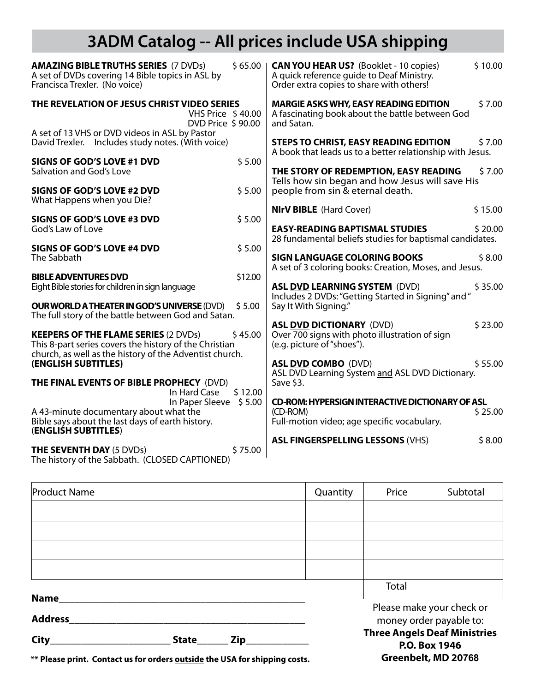## **3ADM Catalog -- All prices include USA shipping**

| <b>AMAZING BIBLE TRUTHS SERIES (7 DVDs)</b><br>A set of DVDs covering 14 Bible topics in ASL by<br>Francisca Trexler. (No voice)                                 | $$65.00$ | <b>CAN YOU HEAR US?</b> (Booklet - 10 copies)<br>A quick reference guide to Deaf Ministry.<br>Order extra copies to share with others! | \$10.00 |
|------------------------------------------------------------------------------------------------------------------------------------------------------------------|----------|----------------------------------------------------------------------------------------------------------------------------------------|---------|
| THE REVELATION OF JESUS CHRIST VIDEO SERIES<br><b>VHS Price \$40.00</b><br>DVD Price \$90.00                                                                     |          | <b>MARGIE ASKS WHY, EASY READING EDITION</b><br>A fascinating book about the battle between God<br>and Satan.                          | \$7.00  |
| A set of 13 VHS or DVD videos in ASL by Pastor<br>David Trexler. Includes study notes. (With voice)                                                              |          | <b>STEPS TO CHRIST, EASY READING EDITION</b><br>A book that leads us to a better relationship with Jesus.                              | \$7.00  |
| <b>SIGNS OF GOD'S LOVE #1 DVD</b><br>Salvation and God's Love                                                                                                    | \$5.00   | THE STORY OF REDEMPTION, EASY READING<br>Tells how sin began and how Jesus will save His                                               | \$7.00  |
| <b>SIGNS OF GOD'S LOVE #2 DVD</b><br>What Happens when you Die?                                                                                                  | \$5.00   | people from sin & eternal death.                                                                                                       |         |
| SIGNS OF GOD'S LOVE #3 DVD                                                                                                                                       | \$5.00   | <b>NIrV BIBLE</b> (Hard Cover)                                                                                                         | \$15.00 |
| God's Law of Love                                                                                                                                                |          | <b>EASY-READING BAPTISMAL STUDIES</b><br>28 fundamental beliefs studies for baptismal candidates.                                      | \$20.00 |
| SIGNS OF GOD'S LOVE #4 DVD<br>The Sabbath                                                                                                                        | \$5.00   | <b>SIGN LANGUAGE COLORING BOOKS</b><br>A set of 3 coloring books: Creation, Moses, and Jesus.                                          | \$8.00  |
| <b>BIBLE ADVENTURES DVD</b>                                                                                                                                      | \$12.00  |                                                                                                                                        |         |
| Eight Bible stories for children in sign language                                                                                                                |          | <b>ASL DVD LEARNING SYSTEM (DVD)</b><br>Includes 2 DVDs: "Getting Started in Signing" and "                                            | \$35.00 |
| <b>OUR WORLD A THEATER IN GOD'S UNIVERSE (DVD)</b><br>The full story of the battle between God and Satan.                                                        | \$5.00   | Say It With Signing."                                                                                                                  |         |
| <b>KEEPERS OF THE FLAME SERIES (2 DVDs)</b><br>This 8-part series covers the history of the Christian<br>church, as well as the history of the Adventist church. | \$45.00  | <b>ASL DVD DICTIONARY (DVD)</b><br>Over 700 signs with photo illustration of sign<br>(e.g. picture of "shoes").                        | \$23.00 |
| (ENGLISH SUBTITLES)                                                                                                                                              |          | <b>ASL DVD COMBO (DVD)</b>                                                                                                             | \$55.00 |
| THE FINAL EVENTS OF BIBLE PROPHECY (DVD)<br>In Hard Case                                                                                                         | \$12.00  | ASL DVD Learning System and ASL DVD Dictionary.<br>Save \$3.                                                                           |         |
| In Paper Sleeve \$5.00<br>A 43-minute documentary about what the<br>Bible says about the last days of earth history.<br>(ENGLISH SUBTITLES)                      |          | <b>CD-ROM: HYPERSIGN INTERACTIVE DICTIONARY OF ASL</b><br>(CD-ROM)<br>Full-motion video; age specific vocabulary.                      | \$25.00 |
| <b>THE SEVENTH DAY (5 DVDs)</b><br>The history of the Sabbath. (CLOSED CAPTIONED)                                                                                | \$75.00  | <b>ASL FINGERSPELLING LESSONS (VHS)</b>                                                                                                | \$8.00  |

| <b>Product Name</b>           |  |                                                      | Quantity                                             | Price | Subtotal |
|-------------------------------|--|------------------------------------------------------|------------------------------------------------------|-------|----------|
|                               |  |                                                      |                                                      |       |          |
|                               |  |                                                      |                                                      |       |          |
|                               |  |                                                      |                                                      |       |          |
|                               |  |                                                      |                                                      |       |          |
|                               |  |                                                      |                                                      | Total |          |
| <b>Name</b><br><b>Address</b> |  |                                                      | Please make your check or<br>money order payable to: |       |          |
| City<br><b>State</b><br>Zip   |  | <b>Three Angels Deaf Ministries</b><br>P.O. Box 1946 |                                                      |       |          |

**Greenbelt, MD 20768**

**\*\* Please print. Contact us for orders outside the USA for shipping costs.**